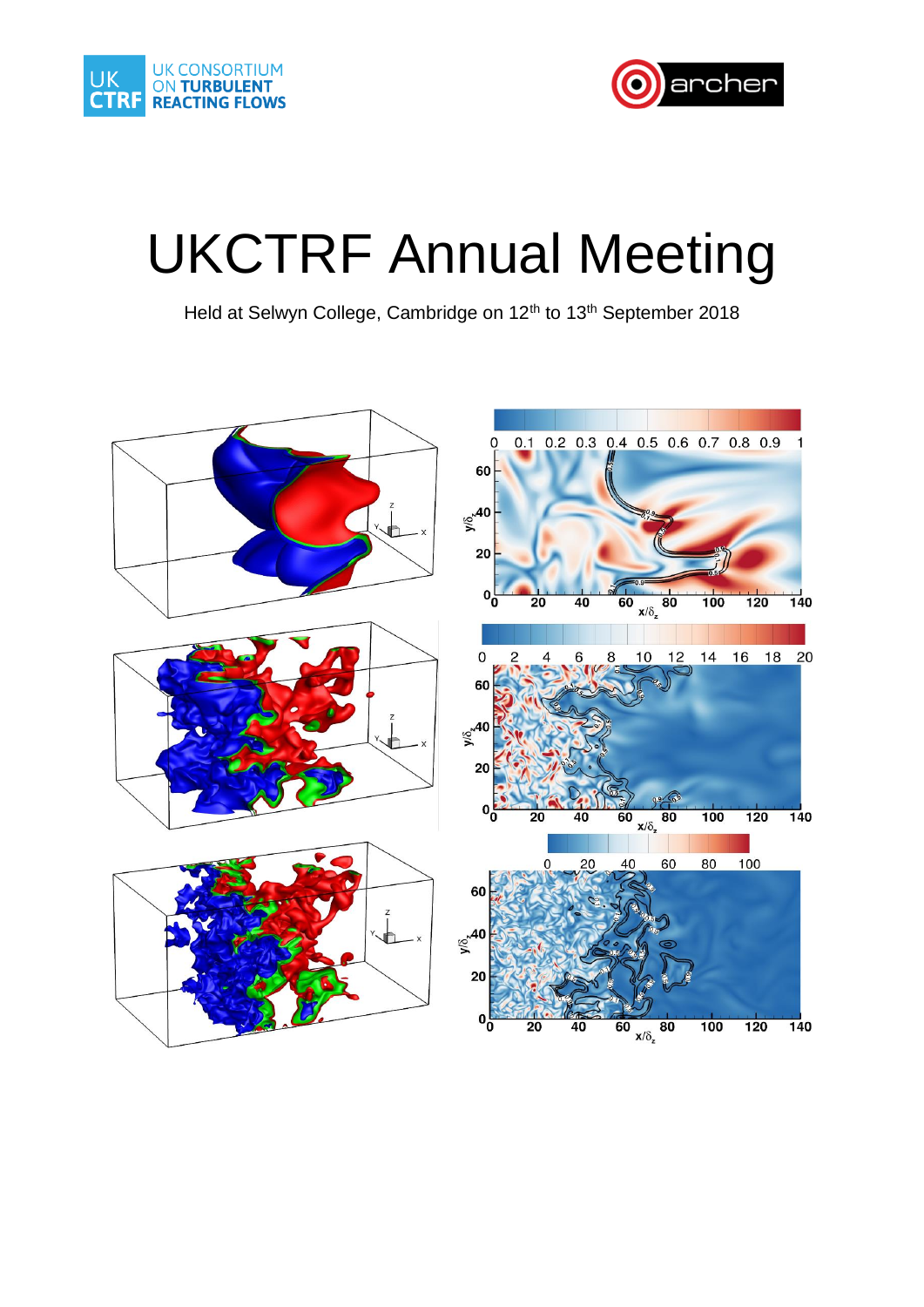



# UKCTRF Annual Meeting

Held at Selwyn College, Cambridge on 12<sup>th</sup> to 13<sup>th</sup> September 2018

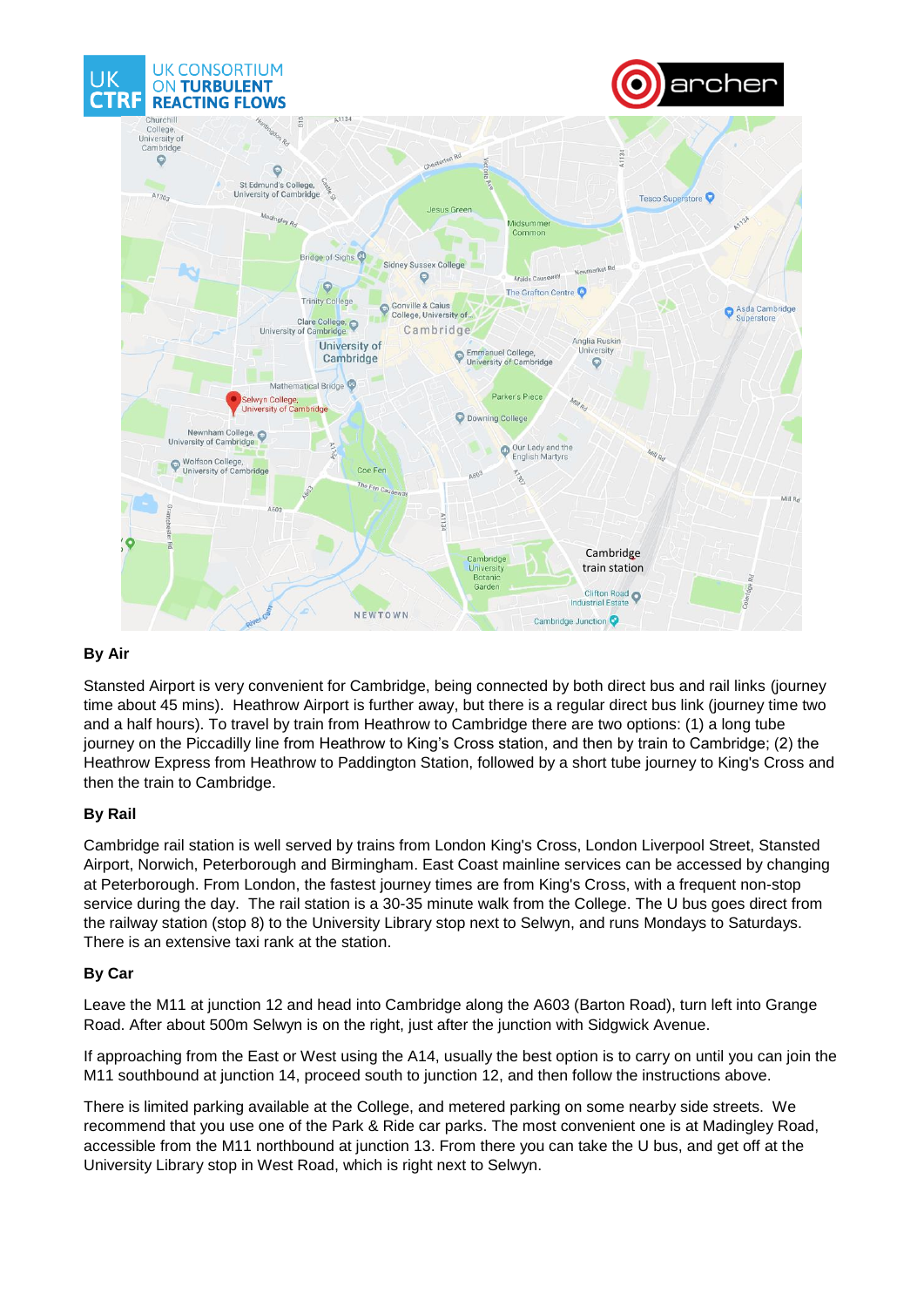

### **By Air**

Stansted Airport is very convenient for Cambridge, being connected by both direct bus and rail links (journey time about 45 mins). Heathrow Airport is further away, but there is a regular direct bus link (journey time two and a half hours). To travel by train from Heathrow to Cambridge there are two options: (1) a long tube journey on the Piccadilly line from Heathrow to King's Cross station, and then by train to Cambridge; (2) the Heathrow Express from Heathrow to Paddington Station, followed by a short tube journey to King's Cross and then the train to Cambridge.

#### **By Rail**

Cambridge rail station is well served by trains from London King's Cross, London Liverpool Street, Stansted Airport, Norwich, Peterborough and Birmingham. East Coast mainline services can be accessed by changing at Peterborough. From London, the fastest journey times are from King's Cross, with a frequent non-stop service during the day. The rail station is a 30-35 minute walk from the College. The U bus goes direct from the railway station (stop 8) to the University Library stop next to Selwyn, and runs Mondays to Saturdays. There is an extensive taxi rank at the station.

#### **By Car**

Leave the M11 at junction 12 and head into Cambridge along the A603 (Barton Road), turn left into Grange Road. After about 500m Selwyn is on the right, just after the junction with Sidgwick Avenue.

If approaching from the East or West using the A14, usually the best option is to carry on until you can join the M11 southbound at junction 14, proceed south to junction 12, and then follow the instructions above.

There is limited parking available at the College, and metered parking on some nearby side streets. We recommend that you use one of the Park & Ride car parks. The most convenient one is at Madingley Road, accessible from the M11 northbound at junction 13. From there you can take the U bus, and get off at the University Library stop in West Road, which is right next to Selwyn.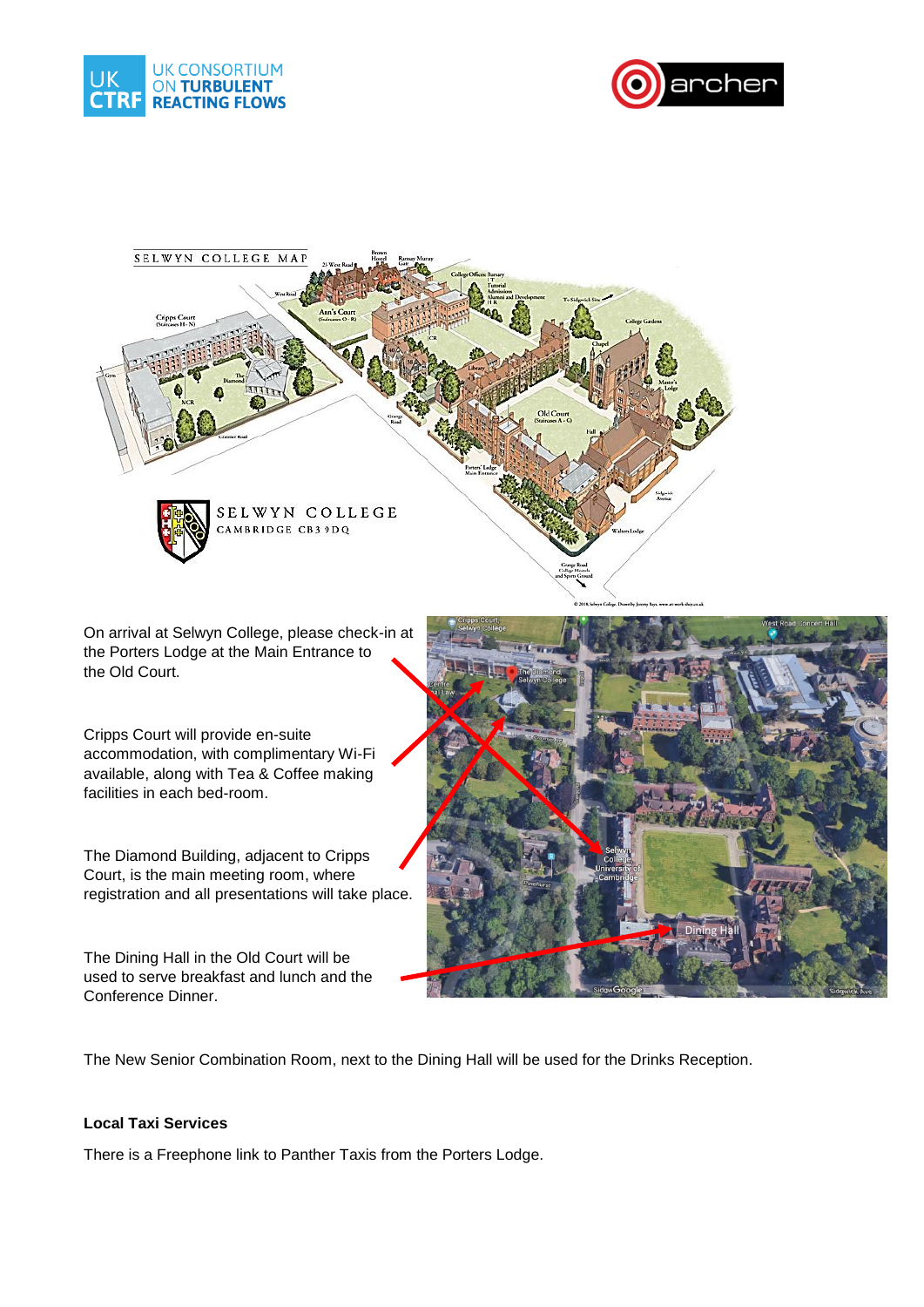





On arrival at Selwyn College, please check-in at the Porters Lodge at the Main Entrance to the Old Court.

Cripps Court will provide en-suite accommodation, with complimentary Wi-Fi available, along with Tea & Coffee making facilities in each bed-room.

The Diamond Building, adjacent to Cripps Court, is the main meeting room, where registration and all presentations will take place.

The Dining Hall in the Old Court will be used to serve breakfast and lunch and the Conference Dinner.



The New Senior Combination Room, next to the Dining Hall will be used for the Drinks Reception.

#### **Local Taxi Services**

There is a Freephone link to Panther Taxis from the Porters Lodge.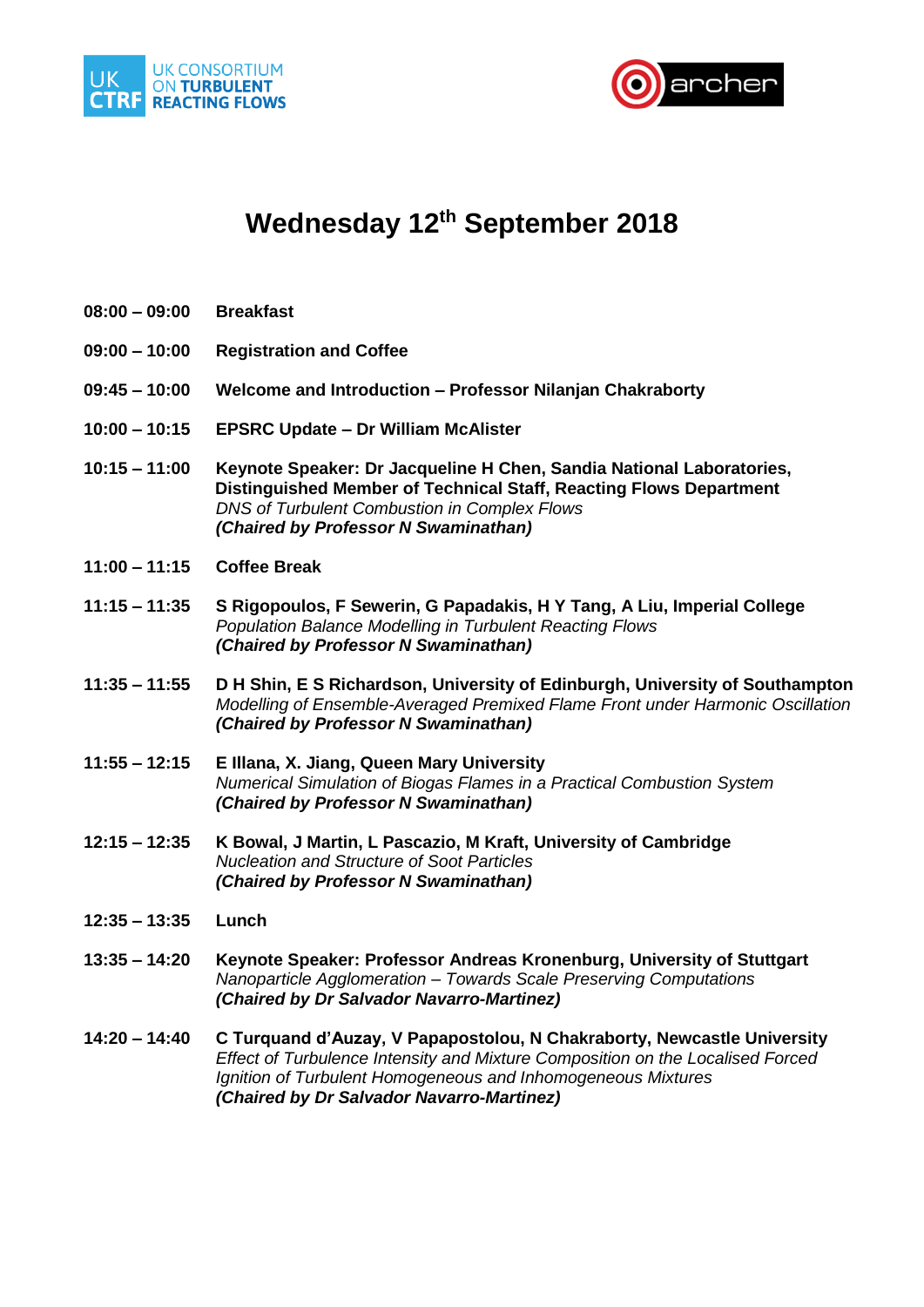



## **Wednesday 12th September 2018**

- **08:00 – 09:00 Breakfast**
- **09:00 – 10:00 Registration and Coffee**
- **09:45 – 10:00 Welcome and Introduction – Professor Nilanjan Chakraborty**
- **10:00 – 10:15 EPSRC Update – Dr William McAlister**
- **10:15 – 11:00 Keynote Speaker: Dr Jacqueline H Chen, Sandia National Laboratories, Distinguished Member of Technical Staff, Reacting Flows Department** *DNS of Turbulent Combustion in Complex Flows (Chaired by Professor N Swaminathan)*
- **11:00 – 11:15 Coffee Break**
- **11:15 – 11:35 S Rigopoulos, F Sewerin, G Papadakis, H Y Tang, A Liu, Imperial College**  *Population Balance Modelling in Turbulent Reacting Flows (Chaired by Professor N Swaminathan)*
- **11:35 – 11:55 D H Shin, E S Richardson, University of Edinburgh, University of Southampton** *Modelling of Ensemble-Averaged Premixed Flame Front under Harmonic Oscillation (Chaired by Professor N Swaminathan)*
- **11:55 – 12:15 E Illana, X. Jiang, Queen Mary University** *Numerical Simulation of Biogas Flames in a Practical Combustion System (Chaired by Professor N Swaminathan)*
- **12:15 – 12:35 K Bowal, J Martin, L Pascazio, M Kraft, University of Cambridge** *Nucleation and Structure of Soot Particles (Chaired by Professor N Swaminathan)*
- **12:35 – 13:35 Lunch**
- **13:35 – 14:20 Keynote Speaker: Professor Andreas Kronenburg, University of Stuttgart** *Nanoparticle Agglomeration – Towards Scale Preserving Computations (Chaired by Dr Salvador Navarro-Martinez)*
- **14:20 – 14:40 C Turquand d'Auzay, V Papapostolou, N Chakraborty, Newcastle University** *Effect of Turbulence Intensity and Mixture Composition on the Localised Forced Ignition of Turbulent Homogeneous and Inhomogeneous Mixtures (Chaired by Dr Salvador Navarro-Martinez)*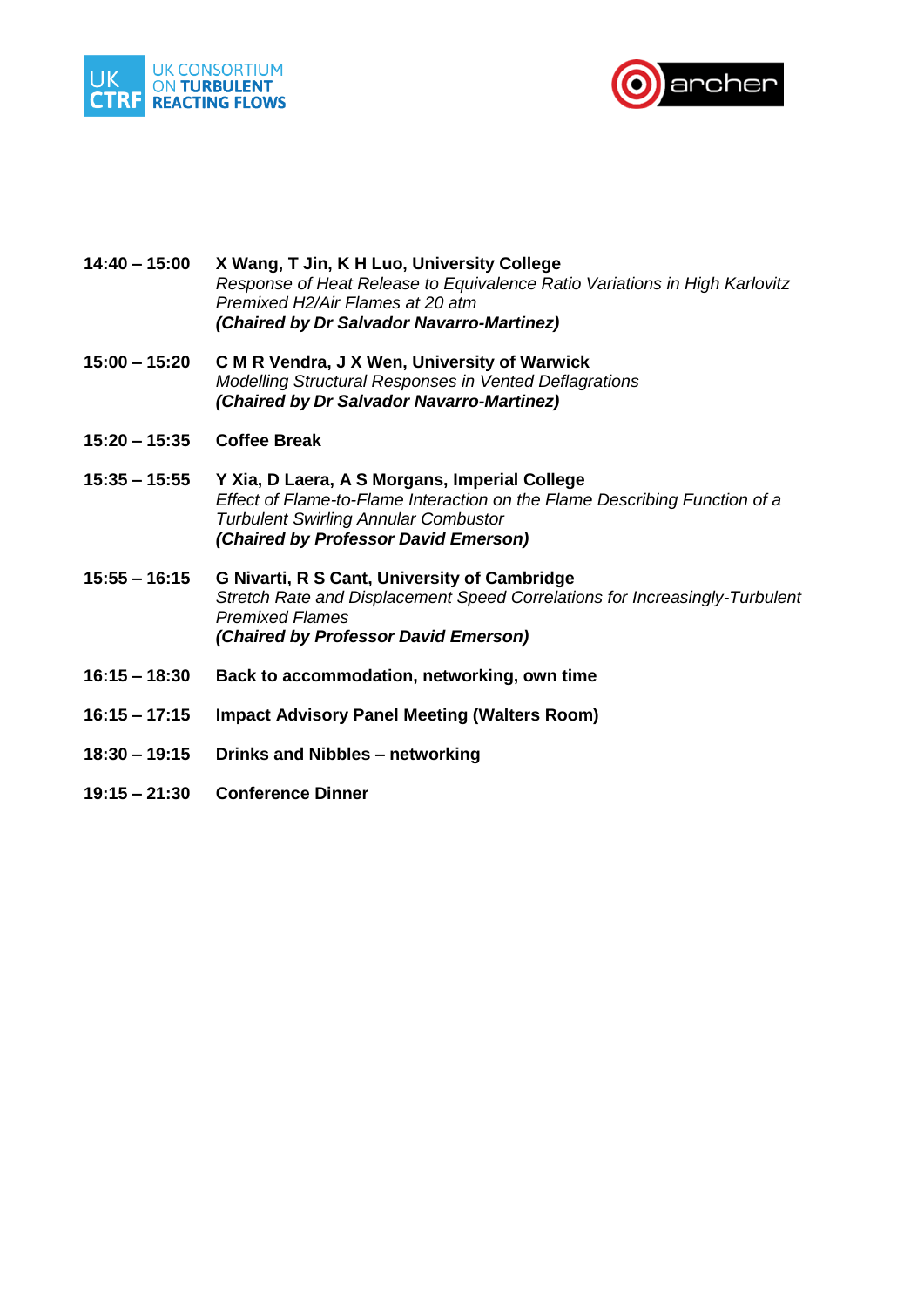



- **14:40 – 15:00 X Wang, T Jin, K H Luo, University College** *Response of Heat Release to Equivalence Ratio Variations in High Karlovitz Premixed H2/Air Flames at 20 atm (Chaired by Dr Salvador Navarro-Martinez)*
- **15:00 – 15:20 C M R Vendra, J X Wen, University of Warwick** *Modelling Structural Responses in Vented Deflagrations (Chaired by Dr Salvador Navarro-Martinez)*
- **15:20 – 15:35 Coffee Break**
- **15:35 – 15:55 Y Xia, D Laera, A S Morgans, Imperial College** *Effect of Flame-to-Flame Interaction on the Flame Describing Function of a Turbulent Swirling Annular Combustor (Chaired by Professor David Emerson)*
- **15:55 – 16:15 G Nivarti, R S Cant, University of Cambridge** *Stretch Rate and Displacement Speed Correlations for Increasingly-Turbulent Premixed Flames (Chaired by Professor David Emerson)*
- **16:15 – 18:30 Back to accommodation, networking, own time**
- **16:15 – 17:15 Impact Advisory Panel Meeting (Walters Room)**
- **18:30 – 19:15 Drinks and Nibbles – networking**
- **19:15 – 21:30 Conference Dinner**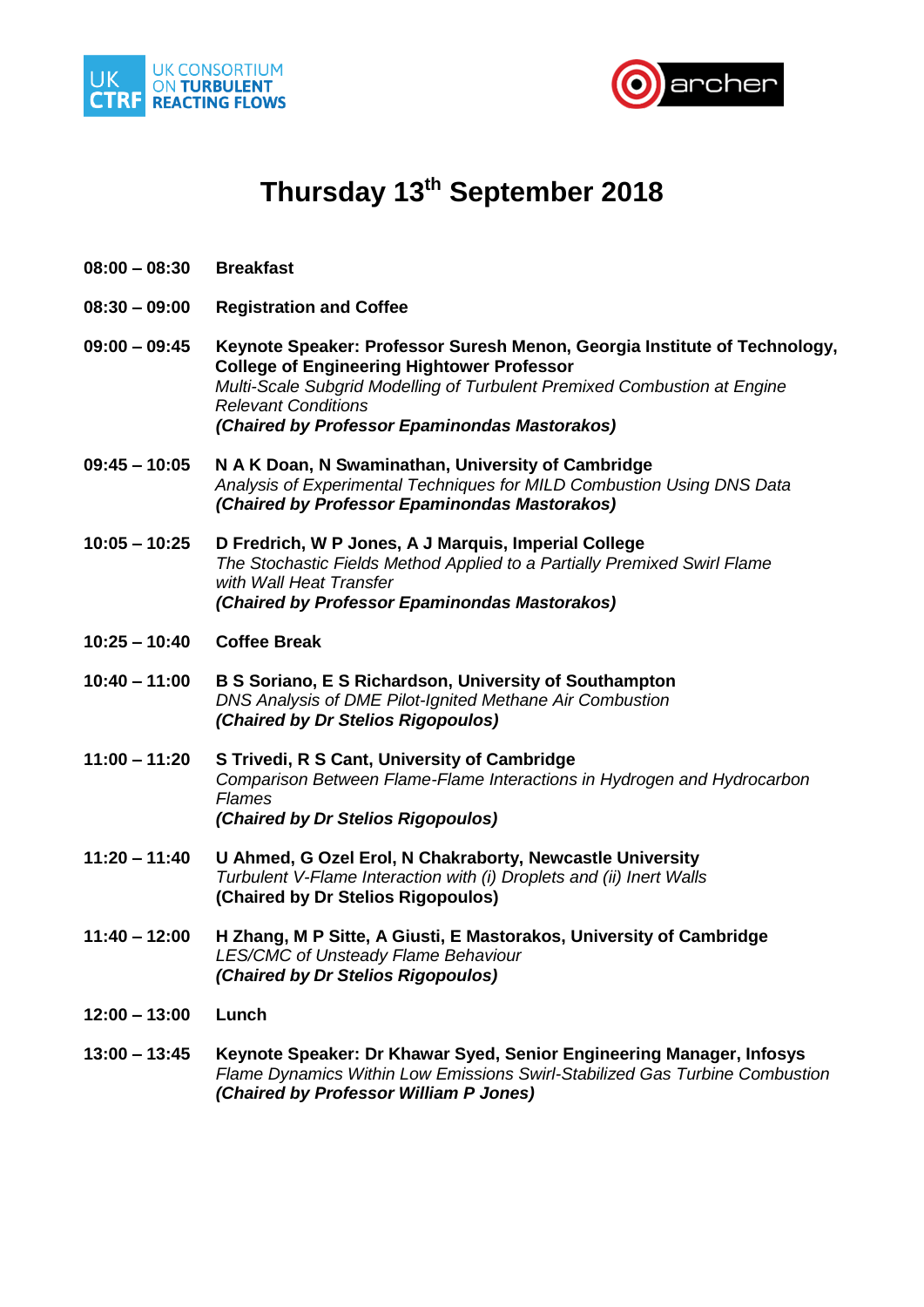



## **Thursday 13th September 2018**

- **08:00 – 08:30 Breakfast**
- **08:30 – 09:00 Registration and Coffee**
- **09:00 – 09:45 Keynote Speaker: Professor Suresh Menon, Georgia Institute of Technology, College of Engineering Hightower Professor** *Multi-Scale Subgrid Modelling of Turbulent Premixed Combustion at Engine Relevant Conditions (Chaired by Professor Epaminondas Mastorakos)*
- **09:45 – 10:05 N A K Doan, N Swaminathan, University of Cambridge** *Analysis of Experimental Techniques for MILD Combustion Using DNS Data (Chaired by Professor Epaminondas Mastorakos)*
- **10:05 – 10:25 D Fredrich, W P Jones, A J Marquis, Imperial College** *The Stochastic Fields Method Applied to a Partially Premixed Swirl Flame with Wall Heat Transfer (Chaired by Professor Epaminondas Mastorakos)*
- **10:25 – 10:40 Coffee Break**
- **10:40 – 11:00 B S Soriano, E S Richardson, University of Southampton** *DNS Analysis of DME Pilot-Ignited Methane Air Combustion (Chaired by Dr Stelios Rigopoulos)*
- **11:00 – 11:20 S Trivedi, R S Cant, University of Cambridge** *Comparison Between Flame-Flame Interactions in Hydrogen and Hydrocarbon Flames (Chaired by Dr Stelios Rigopoulos)*
- **11:20 – 11:40 U Ahmed, G Ozel Erol, N Chakraborty, Newcastle University** *Turbulent V-Flame Interaction with (i) Droplets and (ii) Inert Walls* **(Chaired by Dr Stelios Rigopoulos)**
- **11:40 – 12:00 H Zhang, M P Sitte, A Giusti, E Mastorakos, University of Cambridge** *LES/CMC of Unsteady Flame Behaviour (Chaired by Dr Stelios Rigopoulos)*
- **12:00 – 13:00 Lunch**
- **13:00 – 13:45 Keynote Speaker: Dr Khawar Syed, Senior Engineering Manager, Infosys** *Flame Dynamics Within Low Emissions Swirl-Stabilized Gas Turbine Combustion (Chaired by Professor William P Jones)*